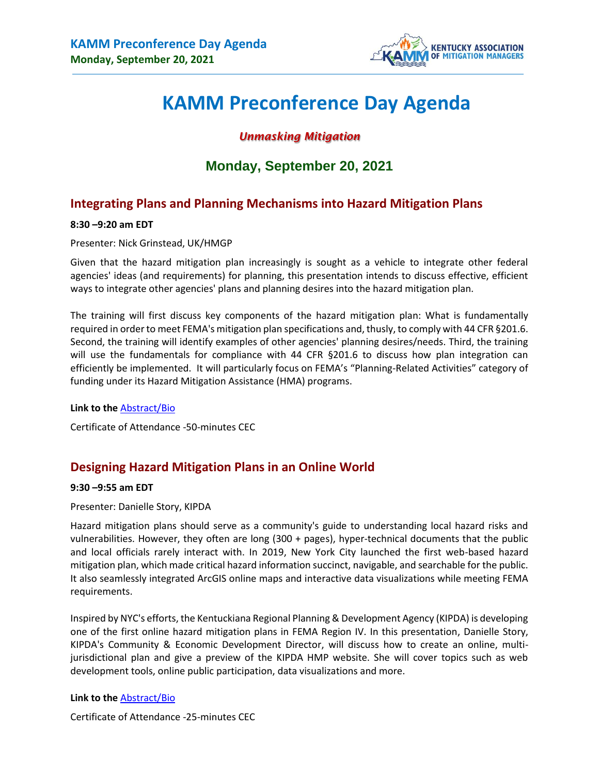

# **KAMM Preconference Day Agenda**

## *Unmasking Mitigation*

## **Monday, September 20, 2021**

## **Integrating Plans and Planning Mechanisms into Hazard Mitigation Plans**

#### **8:30 –9:20 am EDT**

Presenter: Nick Grinstead, UK/HMGP

Given that the hazard mitigation plan increasingly is sought as a vehicle to integrate other federal agencies' ideas (and requirements) for planning, this presentation intends to discuss effective, efficient ways to integrate other agencies' plans and planning desires into the hazard mitigation plan.

The training will first discuss key components of the hazard mitigation plan: What is fundamentally required in order to meet FEMA's mitigation plan specifications and, thusly, to comply with 44 CFR §201.6. Second, the training will identify examples of other agencies' planning desires/needs. Third, the training will use the fundamentals for compliance with 44 CFR §201.6 to discuss how plan integration can efficiently be implemented. It will particularly focus on FEMA's "Planning-Related Activities" category of funding under its Hazard Mitigation Assistance (HMA) programs.

#### **Link to the** [Abstract/Bio](http://www.kymitigation.org/wp-content/uploads/2021/07/2021-KAMM-Virtual-Conference-Nick-Grinstead.pdf)

Certificate of Attendance -50-minutes CEC

## **Designing Hazard Mitigation Plans in an Online World**

#### **9:30 –9:55 am EDT**

Presenter: Danielle Story, KIPDA

Hazard mitigation plans should serve as a community's guide to understanding local hazard risks and vulnerabilities. However, they often are long (300 + pages), hyper-technical documents that the public and local officials rarely interact with. In 2019, New York City launched the first web-based hazard mitigation plan, which made critical hazard information succinct, navigable, and searchable for the public. It also seamlessly integrated ArcGIS online maps and interactive data visualizations while meeting FEMA requirements.

Inspired by NYC's efforts, the Kentuckiana Regional Planning & Development Agency (KIPDA) is developing one of the first online hazard mitigation plans in FEMA Region IV. In this presentation, Danielle Story, KIPDA's Community & Economic Development Director, will discuss how to create an online, multijurisdictional plan and give a preview of the KIPDA HMP website. She will cover topics such as web development tools, online public participation, data visualizations and more.

#### **Link to the** [Abstract/Bio](http://www.kymitigation.org/wp-content/uploads/2021/07/2021-KAMM-Virtual-Conference-Danielle-Story.pdf)

Certificate of Attendance -25-minutes CEC